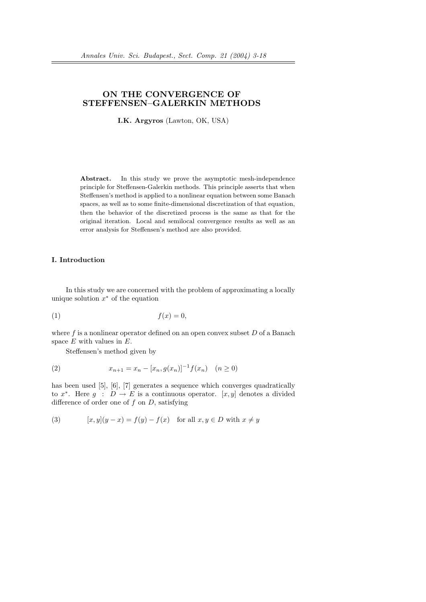# ON THE CONVERGENCE OF STEFFENSEN–GALERKIN METHODS

I.K. Argyros (Lawton, OK, USA)

Abstract. In this study we prove the asymptotic mesh-independence principle for Steffensen-Galerkin methods. This principle asserts that when Steffensen's method is applied to a nonlinear equation between some Banach spaces, as well as to some finite-dimensional discretization of that equation, then the behavior of the discretized process is the same as that for the original iteration. Local and semilocal convergence results as well as an error analysis for Steffensen's method are also provided.

## I. Introduction

In this study we are concerned with the problem of approximating a locally unique solution  $x^*$  of the equation

$$
(1) \t\t f(x) = 0,
$$

where f is a nonlinear operator defined on an open convex subset  $D$  of a Banach space  $E$  with values in  $E$ .

Steffensen's method given by

(2) 
$$
x_{n+1} = x_n - [x_n, g(x_n)]^{-1} f(x_n) \quad (n \ge 0)
$$

has been used [5], [6], [7] generates a sequence which converges quadratically to  $x^*$ . Here  $g : D \to E$  is a continuous operator. [x, y] denotes a divided difference of order one of  $f$  on  $D$ , satisfying

(3) 
$$
[x, y](y - x) = f(y) - f(x) \text{ for all } x, y \in D \text{ with } x \neq y
$$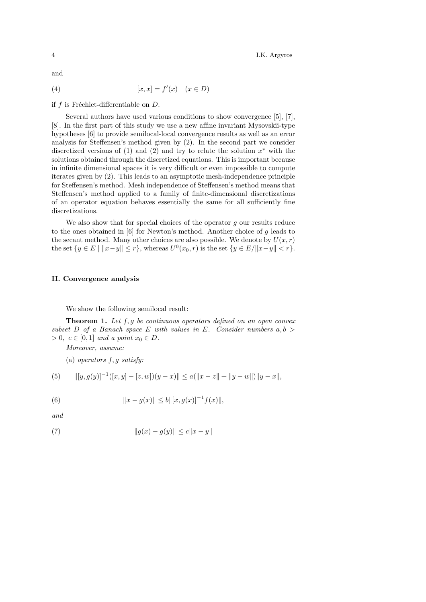and

$$
[x, x] = f'(x) \quad (x \in D)
$$

if f is Fréchlet-differentiable on  $D$ .

Several authors have used various conditions to show convergence [5], [7], [8]. In the first part of this study we use a new affine invariant Mysovskii-type hypotheses [6] to provide semilocal-local convergence results as well as an error analysis for Steffensen's method given by (2). In the second part we consider discretized versions of  $(1)$  and  $(2)$  and try to relate the solution  $x^*$  with the solutions obtained through the discretized equations. This is important because in infinite dimensional spaces it is very difficult or even impossible to compute iterates given by (2). This leads to an asymptotic mesh-independence principle for Steffensen's method. Mesh independence of Steffensen's method means that Steffensen's method applied to a family of finite-dimensional discretizations of an operator equation behaves essentially the same for all sufficiently fine discretizations.

We also show that for special choices of the operator  $q$  our results reduce to the ones obtained in [6] for Newton's method. Another choice of g leads to the secant method. Many other choices are also possible. We denote by  $U(x, r)$ the set  $\{y \in E \mid ||x-y|| \le r\}$ , whereas  $U^0(x_0, r)$  is the set  $\{y \in E / ||x-y|| < r\}$ .

#### II. Convergence analysis

We show the following semilocal result:

**Theorem 1.** Let  $f, g$  be continuous operators defined on an open convex subset D of a Banach space E with values in E. Consider numbers  $a, b$  $> 0, c \in [0, 1]$  and a point  $x_0 \in D$ .

Moreover, assume:

(a) operators f, g satisfy:

(5) 
$$
\| [y, g(y)]^{-1}([x, y] - [z, w])(y - x) \| \le a(\|x - z\| + \|y - w\|) \|y - x\|,
$$

(6) 
$$
||x - g(x)|| \le b ||[x, g(x)]^{-1} f(x)||,
$$

and

(7) 
$$
||g(x) - g(y)|| \le c||x - y||
$$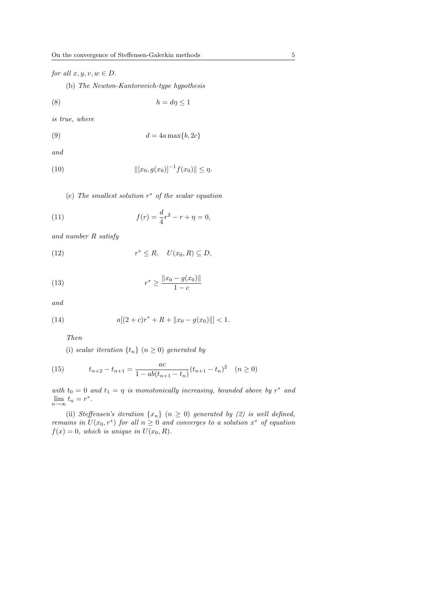for all  $x, y, v, w \in D$ .

(b) The Newton-Kantorovich-type hypothesis

$$
(8) \t\t\t\t\t h = d\eta \le 1
$$

is true, where

$$
(9) \t\t d = 4a \max\{b, 2c\}
$$

and

(10) 
$$
\| [x_0, g(x_0)]^{-1} f(x_0) \| \le \eta.
$$

(c) The smallest solution  $r^*$  of the scalar equation

(11) 
$$
f(r) = \frac{d}{4}r^2 - r + \eta = 0,
$$

and number R satisfy

(12) 
$$
r^* \leq R, \quad U(x_0, R) \subseteq D,
$$

(13) 
$$
r^* \ge \frac{\|x_0 - g(x_0)\|}{1 - c}
$$

and

(14) 
$$
a[(2+c)r^* + R + ||x_0 - g(x_0)||] < 1.
$$

Then

(i) scalar iteration  $\{t_n\}$   $(n \geq 0)$  generated by

(15) 
$$
t_{n+2} - t_{n+1} = \frac{ac}{1 - ab(t_{n+1} - t_n)} (t_{n+1} - t_n)^2 \quad (n \ge 0)
$$

with  $t_0 = 0$  and  $t_1 = \eta$  is monotonically increasing, bounded above by  $r^*$  and  $\lim_{n\to\infty}t_n=r^*.$ 

(ii) Steffensen's iteration  $\{x_n\}$   $(n \geq 0)$  generated by (2) is well defined, remains in  $U(x_0, r^*)$  for all  $n \geq 0$  and converges to a solution  $x^*$  of equation  $f(x) = 0$ , which is unique in  $U(x_0, R)$ .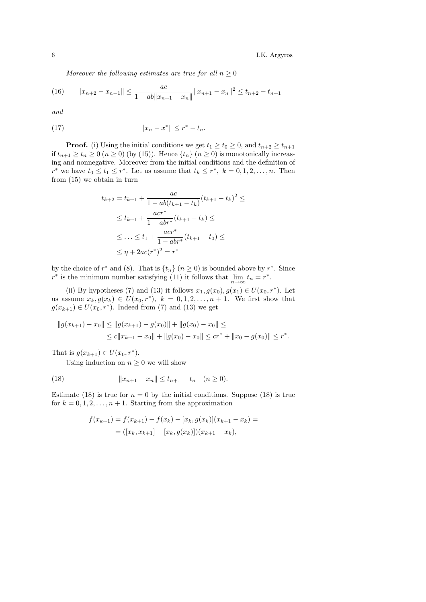Moreover the following estimates are true for all  $n \geq 0$ 

(16) 
$$
||x_{n+2} - x_{n-1}|| \le \frac{ac}{1 - ab||x_{n+1} - x_n||} ||x_{n+1} - x_n||^2 \le t_{n+2} - t_{n+1}
$$

and

(17) 
$$
||x_n - x^*|| \le r^* - t_n.
$$

**Proof.** (i) Using the initial conditions we get  $t_1 \ge t_0 \ge 0$ , and  $t_{n+2} \ge t_{n+1}$ if  $t_{n+1} \geq t_n \geq 0$   $(n \geq 0)$  (by (15)). Hence  $\{t_n\}$   $(n \geq 0)$  is monotonically increasing and nonnegative. Moreover from the initial conditions and the definition of  $r^*$  we have  $t_0 \leq t_1 \leq r^*$ . Let us assume that  $t_k \leq r^*$ ,  $k = 0, 1, 2, \ldots, n$ . Then from (15) we obtain in turn

$$
t_{k+2} = t_{k+1} + \frac{ac}{1 - ab(t_{k+1} - t_k)}(t_{k+1} - t_k)^2 \le
$$
  
\n
$$
\le t_{k+1} + \frac{acr^*}{1 - abr^*}(t_{k+1} - t_k) \le
$$
  
\n
$$
\le \dots \le t_1 + \frac{acr^*}{1 - abr^*}(t_{k+1} - t_0) \le
$$
  
\n
$$
\le \eta + 2ac(r^*)^2 = r^*
$$

by the choice of  $r^*$  and (8). That is  $\{t_n\}$   $(n \ge 0)$  is bounded above by  $r^*$ . Since  $r^*$  is the minimum number satisfying (11) it follows that  $\lim_{n \to \infty} t_n = r^*$ .

(ii) By hypotheses (7) and (13) it follows  $x_1, g(x_0), g(x_1) \in U(x_0, r^*)$ . Let us assume  $x_k, g(x_k) \in U(x_0, r^*)$ ,  $k = 0, 1, 2, ..., n + 1$ . We first show that  $g(x_{k+1}) \in U(x_0, r^*)$ . Indeed from (7) and (13) we get

$$
||g(x_{k+1}) - x_0|| \le ||g(x_{k+1}) - g(x_0)|| + ||g(x_0) - x_0|| \le
$$
  
 
$$
\le c||x_{k+1} - x_0|| + ||g(x_0) - x_0|| \le cr^* + ||x_0 - g(x_0)|| \le r^*.
$$

That is  $g(x_{k+1}) \in U(x_0, r^*)$ .

Using induction on  $n \geq 0$  we will show

(18) 
$$
||x_{n+1} - x_n|| \le t_{n+1} - t_n \quad (n \ge 0).
$$

Estimate (18) is true for  $n = 0$  by the initial conditions. Suppose (18) is true for  $k = 0, 1, 2, \ldots, n + 1$ . Starting from the approximation

$$
f(x_{k+1}) = f(x_{k+1}) - f(x_k) - [x_k, g(x_k)](x_{k+1} - x_k) =
$$
  
= ([x\_k, x\_{k+1}] - [x\_k, g(x\_k)])(x\_{k+1} - x\_k),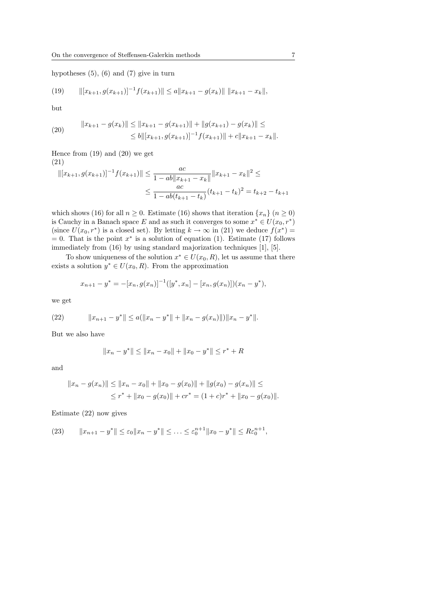hypotheses  $(5)$ ,  $(6)$  and  $(7)$  give in turn

(19) 
$$
\| [x_{k+1}, g(x_{k+1})]^{-1} f(x_{k+1}) \| \le a \| x_{k+1} - g(x_k) \| \| x_{k+1} - x_k \|,
$$

but

(20) 
$$
||x_{k+1} - g(x_k)|| \le ||x_{k+1} - g(x_{k+1})|| + ||g(x_{k+1}) - g(x_k)|| \le
$$

$$
\le b||[x_{k+1}, g(x_{k+1})]^{-1} f(x_{k+1})|| + c||x_{k+1} - x_k||.
$$

Hence from (19) and (20) we get

(21)

$$
||[x_{k+1}, g(x_{k+1})]^{-1} f(x_{k+1})|| \le \frac{ac}{1 - ab||x_{k+1} - x_k||} ||x_{k+1} - x_k||^2 \le
$$
  

$$
\le \frac{ac}{1 - ab(t_{k+1} - t_k)} (t_{k+1} - t_k)^2 = t_{k+2} - t_{k+1}
$$

which shows (16) for all  $n \geq 0$ . Estimate (16) shows that iteration  $\{x_n\}$  ( $n \geq 0$ ) is Cauchy in a Banach space E and as such it converges to some  $x^* \in U(x_0, r^*)$ (since  $U(x_0, r^*)$  is a closed set). By letting  $k \to \infty$  in (21) we deduce  $f(x^*) =$  $= 0$ . That is the point  $x^*$  is a solution of equation (1). Estimate (17) follows immediately from (16) by using standard majorization techniques [1], [5].

To show uniqueness of the solution  $x^* \in U(x_0, R)$ , let us assume that there exists a solution  $y^* \in U(x_0, R)$ . From the approximation

$$
x_{n+1} - y^* = -[x_n, g(x_n)]^{-1}([y^*, x_n] - [x_n, g(x_n)])(x_n - y^*),
$$

we get

(22) 
$$
||x_{n+1} - y^*|| \le a(||x_n - y^*|| + ||x_n - g(x_n)||)||x_n - y^*||.
$$

But we also have

$$
||x_n - y^*|| \le ||x_n - x_0|| + ||x_0 - y^*|| \le r^* + R
$$

and

$$
||x_n - g(x_n)|| \le ||x_n - x_0|| + ||x_0 - g(x_0)|| + ||g(x_0) - g(x_n)|| \le
$$
  

$$
\le r^* + ||x_0 - g(x_0)|| + cr^* = (1 + c)r^* + ||x_0 - g(x_0)||.
$$

Estimate (22) now gives

(23) 
$$
||x_{n+1} - y^*|| \le \varepsilon_0 ||x_n - y^*|| \le \ldots \le \varepsilon_0^{n+1} ||x_0 - y^*|| \le R\varepsilon_0^{n+1},
$$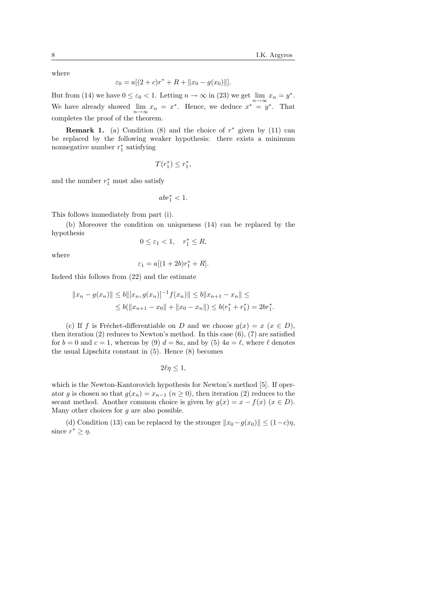where

$$
\varepsilon_0 = a[(2+c)r^* + R + ||x_0 - g(x_0)||].
$$

But from (14) we have  $0 \le \varepsilon_0 < 1$ . Letting  $n \to \infty$  in (23) we get  $\lim_{n \to \infty} x_n = y^*$ . We have already showed  $\lim_{n \to \infty} x_n = x^*$ . Hence, we deduce  $x^* = y^*$ . That completes the proof of the theorem.

**Remark 1.** (a) Condition (8) and the choice of  $r^*$  given by (11) can be replaced by the following weaker hypothesis: there exists a minimum nonnegative number  $r_1^*$  satisfying

$$
T(r_1^*)\leq r_1^*,
$$

and the number  $r_1^*$  must also satisfy

$$
abr_1^* < 1.
$$

This follows immediately from part (i).

(b) Moreover the condition on uniqueness (14) can be replaced by the hypothesis

$$
0 \le \varepsilon_1 < 1, \quad r_1^* \le R
$$

where

$$
\varepsilon_1 = a[(1+2b)r_1^* + R].
$$

Indeed this follows from (22) and the estimate

$$
||x_n - g(x_n)|| \le b ||[x_n, g(x_n)]^{-1} f(x_n)|| \le b ||x_{n+1} - x_n|| \le
$$
  
 
$$
\le b (||x_{n+1} - x_0|| + ||x_0 - x_n||) \le b(r_1^* + r_1^*) = 2br_1^*.
$$

(c) If f is Fréchet-differentiable on D and we choose  $g(x) = x$  ( $x \in D$ ), then iteration (2) reduces to Newton's method. In this case  $(6)$ , (7) are satisfied for  $b = 0$  and  $c = 1$ , whereas by (9)  $d = 8a$ , and by (5)  $4a = \ell$ , where  $\ell$  denotes the usual Lipschitz constant in (5). Hence (8) becomes

$$
2\ell\eta\leq 1,
$$

which is the Newton-Kantorovich hypothesis for Newton's method [5]. If operator g is chosen so that  $g(x_n) = x_{n-1}$   $(n \ge 0)$ , then iteration (2) reduces to the secant method. Another common choice is given by  $g(x) = x - f(x)$  ( $x \in D$ ). Many other choices for  $q$  are also possible.

(d) Condition (13) can be replaced by the stronger  $||x_0-g(x_0)|| \leq (1-c)\eta$ , since  $r^* \geq \eta$ .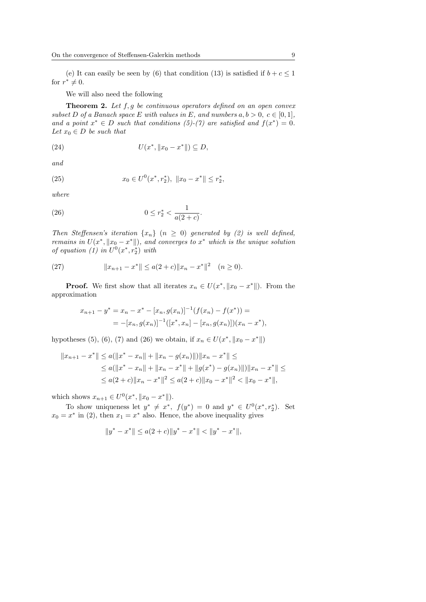(e) It can easily be seen by (6) that condition (13) is satisfied if  $b+c \leq 1$ for  $r^* \neq 0$ .

We will also need the following

**Theorem 2.** Let  $f, g$  be continuous operators defined on an open convex subset D of a Banach space E with values in E, and numbers  $a, b > 0, c \in [0, 1],$ and a point  $x^* \in D$  such that conditions (5)-(7) are satisfied and  $f(x^*) = 0$ . Let  $x_0 \in D$  be such that

(24) 
$$
U(x^*, \|x_0 - x^*\|) \subseteq D,
$$

and

(25) 
$$
x_0 \in U^0(x^*, r_2^*), \|x_0 - x^*\| \le r_2^*,
$$

where

(26) 
$$
0 \le r_2^* < \frac{1}{a(2+c)}.
$$

Then Steffensen's iteration  $\{x_n\}$   $(n \geq 0)$  generated by (2) is well defined, remains in  $U(x^*, \|x_0 - x^*\|)$ , and converges to  $x^*$  which is the unique solution of equation (1) in  $U^0(x^*, r_2^*)$  with

(27) 
$$
||x_{n+1} - x^*|| \le a(2+c) ||x_n - x^*||^2 \quad (n \ge 0).
$$

**Proof.** We first show that all iterates  $x_n \in U(x^*, \|x_0 - x^*\|)$ . From the approximation

$$
x_{n+1} - y^* = x_n - x^* - [x_n, g(x_n)]^{-1} (f(x_n) - f(x^*)) =
$$
  
= 
$$
- [x_n, g(x_n)]^{-1} ([x^*, x_n] - [x_n, g(x_n)])(x_n - x^*),
$$

hypotheses (5), (6), (7) and (26) we obtain, if  $x_n \in U(x^*, \|x_0 - x^*\|)$ 

$$
||x_{n+1} - x^*|| \le a(||x^* - x_n|| + ||x_n - g(x_n)||)||x_n - x^*|| \le
$$
  
\n
$$
\le a(||x^* - x_n|| + ||x_n - x^*|| + ||g(x^*) - g(x_n)||)||x_n - x^*|| \le
$$
  
\n
$$
\le a(2+c)||x_n - x^*||^2 \le a(2+c)||x_0 - x^*||^2 < ||x_0 - x^*||,
$$

which shows  $x_{n+1} \in U^0(x^*, \|x_0 - x^*\|).$ 

To show uniqueness let  $y^* \neq x^*$ ,  $f(y^*) = 0$  and  $y^* \in U^0(x^*, r_2^*)$ . Set  $x_0 = x^*$  in (2), then  $x_1 = x^*$  also. Hence, the above inequality gives

$$
||y^*-x^*||\leq a(2+c)||y^*-x^*||<||y^*-x^*||,
$$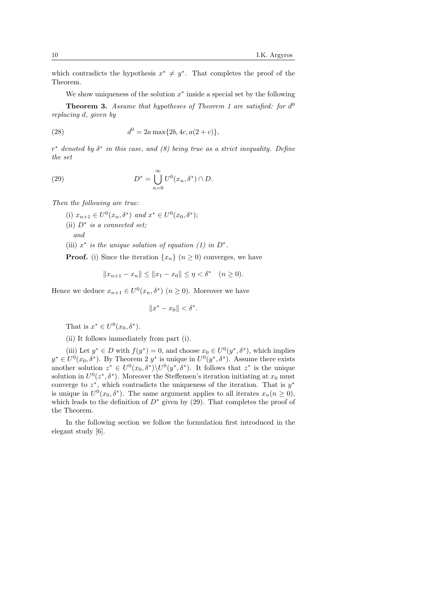which contradicts the hypothesis  $x^* \neq y^*$ . That completes the proof of the Theorem.

We show uniqueness of the solution  $x^*$  inside a special set by the following

**Theorem 3.** Assume that hypotheses of Theorem 1 are satisfied: for  $d^0$ replacing d, given by

(28) 
$$
d^0 = 2a \max\{2b, 4c, a(2+c)\},
$$

 $r^*$  denoted by  $\delta^*$  in this case, and  $(8)$  being true as a strict inequality. Define the set

(29) 
$$
D^* = \bigcup_{n=0}^{\infty} U^0(x_n, \delta^*) \cap D.
$$

Then the following are true:

(i)  $x_{n+1} \in U^0(x_n, \delta^*)$  and  $x^* \in U^0(x_0, \delta^*)$ ; (ii)  $D^*$  is a connected set; and (iii)  $x^*$  is the unique solution of equation (1) in  $D^*$ .

**Proof.** (i) Since the iteration  $\{x_n\}$  ( $n \geq 0$ ) converges, we have

$$
||x_{n+1} - x_n|| \le ||x_1 - x_0|| \le \eta < \delta^* \quad (n \ge 0).
$$

Hence we deduce  $x_{n+1} \in U^0(x_n, \delta^*)$   $(n \geq 0)$ . Moreover we have

 $||x^* - x_0|| < \delta^*$ .

That is  $x^* \in U^0(x_0, \delta^*)$ .

(ii) It follows immediately from part (i).

(iii) Let  $y^* \in D$  with  $f(y^*) = 0$ , and choose  $x_0 \in U^0(y^*, \delta^*)$ , which implies  $y^* \in U^0(x_0, \delta^*)$ . By Theorem 2  $y^*$  is unique in  $U^0(y^*, \delta^*)$ . Assume there exists another solution  $z^* \in U^0(x_0, \delta^*) \setminus U^0(y^*, \delta^*)$ . It follows that  $z^*$  is the unique solution in  $U^0(z^*, \delta^*)$ . Moreover the Steffensen's iteration initiating at  $x_0$  must converge to  $z^*$ , which contradicts the uniqueness of the iteration. That is  $y^*$ is unique in  $U^0(x_0, \delta^*)$ . The same argument applies to all iterates  $x_n (n \geq 0)$ , which leads to the definition of  $D^*$  given by (29). That completes the proof of the Theorem.

In the following section we follow the formulation first introduced in the elegant study [6].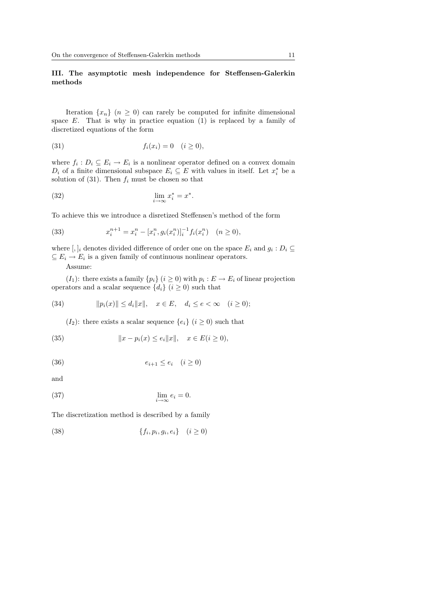## III. The asymptotic mesh independence for Steffensen-Galerkin methods

Iteration  $\{x_n\}$   $(n \geq 0)$  can rarely be computed for infinite dimensional space  $E$ . That is why in practice equation (1) is replaced by a family of discretized equations of the form

(31) 
$$
f_i(x_i) = 0 \quad (i \ge 0),
$$

where  $f_i: D_i \subseteq E_i \to E_i$  is a nonlinear operator defined on a convex domain  $D_i$  of a finite dimensional subspace  $E_i \subseteq E$  with values in itself. Let  $x_i^*$  be a solution of (31). Then  $f_i$  must be chosen so that

$$
\lim_{i \to \infty} x_i^* = x^*.
$$

To achieve this we introduce a disretized Steffensen's method of the form

(33) 
$$
x_i^{n+1} = x_i^n - [x_i^n, g_i(x_i^n)]_i^{-1} f_i(x_i^n) \quad (n \ge 0),
$$

where  $[, ]_i$  denotes divided difference of order one on the space  $E_i$  and  $g_i : D_i \subseteq$  $\subseteq E_i \to E_i$  is a given family of continuous nonlinear operators.

Assume:

 $(I_1)$ : there exists a family  $\{p_i\}$   $(i \geq 0)$  with  $p_i : E \to E_i$  of linear projection operators and a scalar sequence  $\{d_i\}$   $(i \geq 0)$  such that

(34) 
$$
||p_i(x)|| \le d_i ||x||, \quad x \in E, \quad d_i \le e < \infty \quad (i \ge 0);
$$

 $(I_2)$ : there exists a scalar sequence  $\{e_i\}$   $(i \geq 0)$  such that

(35) 
$$
||x - p_i(x) \le e_i ||x||, \quad x \in E(i \ge 0),
$$

$$
(36) \qquad \qquad e_{i+1} \le e_i \quad (i \ge 0)
$$

and

(37) 
$$
\lim_{i \to \infty} e_i = 0.
$$

The discretization method is described by a family

$$
(38) \qquad \{f_i, p_i, g_i, e_i\} \quad (i \ge 0)
$$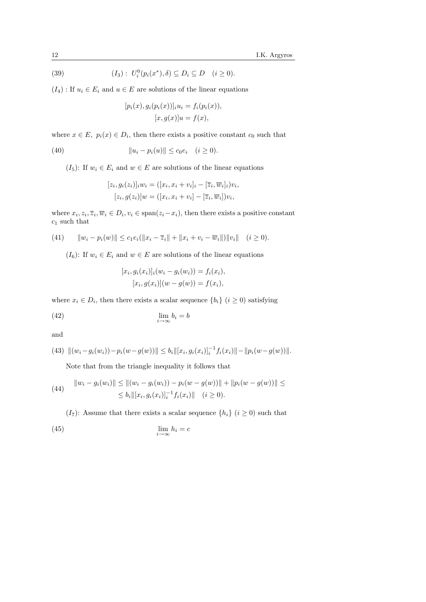(39) 
$$
(I_3): U_i^0(p_i(x^*), \delta) \subseteq D_i \subseteq D \quad (i \ge 0).
$$

 $(I_4)$ : If  $u_i \in E_i$  and  $u \in E$  are solutions of the linear equations

$$
[p_i(x), g_i(p_i(x))]_i u_i = f_i(p_i(x)),
$$
  

$$
[x, g(x)]u = f(x),
$$

where  $x \in E$ ,  $p_i(x) \in D_i$ , then there exists a positive constant  $c_0$  such that

(40) 
$$
||u_i - p_i(u)|| \le c_0 e_i \quad (i \ge 0).
$$

 $(I_5)$ : If  $w_i \in E_i$  and  $w \in E$  are solutions of the linear equations

$$
[z_i, g_i(z_i)]_i w_i = ([x_i, x_i + v_i]_i - [\overline{z}_i, \overline{w}_i]_i) v_i,
$$
  

$$
[z_i, g(z_i)]w = ([x_i, x_i + v_i] - [\overline{z}_i, \overline{w}_i]) v_i,
$$

where  $x_i, z_i, \overline{z}_i, \overline{w}_i \in D_i, v_i \in \text{span}(z_i - x_i)$ , then there exists a positive constant  $c_1$  such that

(41) 
$$
||w_i - p_i(w)|| \leq c_1 e_i(||x_i - \overline{z}_i|| + ||x_i + v_i - \overline{w}_i||) ||v_i|| \quad (i \geq 0).
$$

 $(I_6)$ : If  $w_i \in E_i$  and  $w \in E$  are solutions of the linear equations

$$
[x_i, g_i(x_i)]_i(w_i - g_i(w_i)) = f_i(x_i),
$$
  

$$
[x_i, g(x_i)](w - g(w)) = f(x_i),
$$

where  $x_i \in D_i$ , then there exists a scalar sequence  $\{b_i\}$   $(i \geq 0)$  satisfying

$$
\lim_{i \to \infty} b_i = b
$$

and

(43) 
$$
\|(w_i - g_i(w_i)) - p_i(w - g(w))\| \le b_i \|[x_i, g_i(x_i)]_i^{-1} f_i(x_i)\| - \|p_i(w - g(w))\|.
$$

Note that from the triangle inequality it follows that

(44) 
$$
||w_i - g_i(w_i)|| \le ||(w_i - g_i(w_i)) - p_i(w - g(w))|| + ||p_i(w - g(w))|| \le
$$
  

$$
\le b_i ||[x_i, g_i(x_i)]_i^{-1} f_i(x_i)|| \quad (i \ge 0).
$$

 $(I_7)$ : Assume that there exists a scalar sequence  $\{h_i\}$   $(i \geq 0)$  such that (45)  $\lim_{i \to \infty} h_i = c$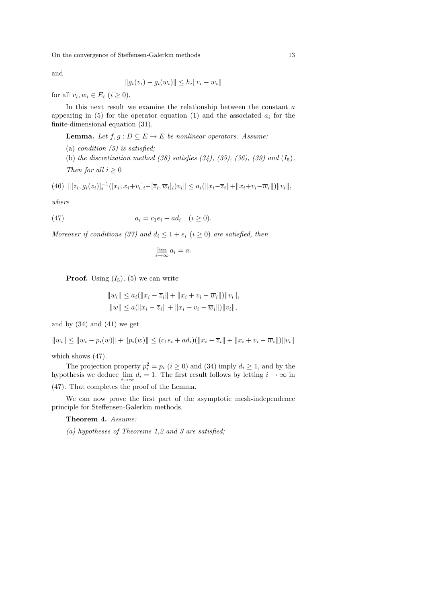and

$$
||g_i(v_i) - g_i(w_i)|| \le h_i ||v_i - w_i||
$$

for all  $v_i, w_i \in E_i \ (i \geq 0)$ .

In this next result we examine the relationship between the constant  $a$ appearing in (5) for the operator equation (1) and the associated  $a_i$  for the finite-dimensional equation (31).

**Lemma.** Let  $f, g : D \subseteq E \rightarrow E$  be nonlinear operators. Assume:

(a) *condition*  $(5)$  *is satisfied*: (b) the discretization method  $(38)$  satisfies  $(34)$ ,  $(35)$ ,  $(36)$ ,  $(39)$  and  $(I_5)$ . Then for all  $i \geq 0$ 

(46) 
$$
\| [z_i, g_i(z_i)]_i^{-1} ([x_i, x_i + v_i]_i - [\overline{z}_i, \overline{w}_i]_i) v_i \| \leq a_i (\| x_i - \overline{z}_i \| + \| x_i + v_i - \overline{w}_i \|) \| v_i \|,
$$

where

(47) 
$$
a_i = c_1 e_i + a d_i \quad (i \ge 0).
$$

Moreover if conditions (37) and  $d_i \leq 1 + e_i$  ( $i \geq 0$ ) are satisfied, then

$$
\lim_{i \to \infty} a_i = a.
$$

**Proof.** Using  $(I_5)$ ,  $(5)$  we can write

$$
||w_i|| \le a_i(||x_i - \overline{z}_i|| + ||x_i + v_i - \overline{w}_i||) ||v_i||,
$$
  

$$
||w|| \le a(||x_i - \overline{z}_i|| + ||x_i + v_i - \overline{w}_i||) ||v_i||,
$$

and by  $(34)$  and  $(41)$  we get

$$
||w_i|| \le ||w_i - p_i(w)|| + ||p_i(w)|| \le (c_1 e_i + ad_i)(||x_i - \overline{z}_i|| + ||x_i + v_i - \overline{w}_i||) ||v_i||
$$

which shows (47).

The projection property  $p_i^2 = p_i$   $(i \ge 0)$  and (34) imply  $d_i \ge 1$ , and by the hypothesis we deduce  $\lim_{i \to \infty} d_i = 1$ . The first result follows by letting  $i \to \infty$  in (47). That completes the proof of the Lemma.

We can now prove the first part of the asymptotic mesh-independence principle for Steffensen-Galerkin methods.

Theorem 4. Assume:

(a) hypotheses of Theorems 1,2 and 3 are satisfied;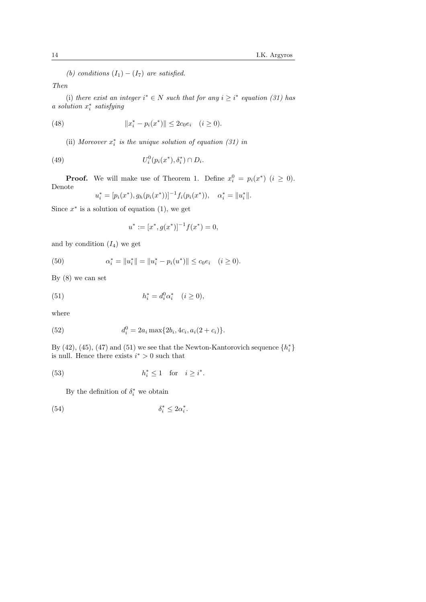(b) conditions  $(I_1) - (I_7)$  are satisfied.

Then

(i) there exist an integer  $i^* \in N$  such that for any  $i \geq i^*$  equation (31) has a solution  $x_i^*$  satisfying

(48) 
$$
||x_i^* - p_i(x^*)|| \le 2c_0e_i \quad (i \ge 0).
$$

(ii) Moreover  $x_i^*$  is the unique solution of equation (31) in

(49) 
$$
U_i^0(p_i(x^*), \delta_i^*) \cap D_i.
$$

**Proof.** We will make use of Theorem 1. Define  $x_i^0 = p_i(x^*)$  ( $i \ge 0$ ). Denote

$$
u_i^* = [p_i(x^*), g_h(p_i(x^*))]^{-1} f_i(p_i(x^*)), \quad \alpha_i^* = ||u_i^*||.
$$

Since  $x^*$  is a solution of equation (1), we get

$$
u^* := [x^*, g(x^*)]^{-1} f(x^*) = 0,
$$

and by condition  $(I_4)$  we get

(50) 
$$
\alpha_i^* = \|u_i^*\| = \|u_i^* - p_i(u^*)\| \le c_0 e_i \quad (i \ge 0).
$$

By  $(8)$  we can set

(51) 
$$
h_i^* = d_i^0 \alpha_i^* \quad (i \ge 0),
$$

where

(52) 
$$
d_i^0 = 2a_i \max\{2b_i, 4c_i, a_i(2+c_i)\}.
$$

By (42), (45), (47) and (51) we see that the Newton-Kantorovich sequence  $\{h_i^*\}$ is null. Hence there exists  $i^* > 0$  such that

(53) 
$$
h_i^* \le 1 \quad \text{for} \quad i \ge i^*.
$$

By the definition of  $\delta_i^*$  we obtain

$$
(54) \t\t\t \delta_i^* \leq 2\alpha_i^*.
$$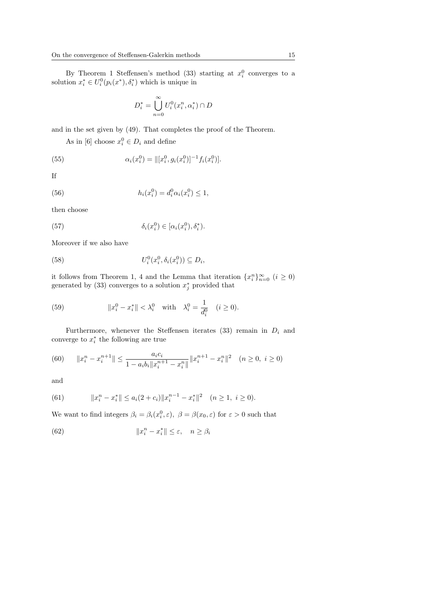By Theorem 1 Steffensen's method (33) starting at  $x_i^0$  converges to a solution  $x_i^* \in U_i^0(p_i(x^*), \delta_i^*)$  which is unique in

$$
D_i^* = \bigcup_{n=0}^{\infty} U_i^0(x_i^n, \alpha_i^*) \cap D
$$

and in the set given by (49). That completes the proof of the Theorem.

As in [6] choose  $x_i^0 \in D_i$  and define

(55) 
$$
\alpha_i(x_i^0) = ||[x_i^0, g_i(x_i^0)]^{-1} f_i(x_i^0)].
$$

If

(56) 
$$
h_i(x_i^0) = d_i^0 \alpha_i(x_i^0) \le 1,
$$

then choose

(57) 
$$
\delta_i(x_i^0) \in [\alpha_i(x_i^0), \delta_i^*).
$$

Moreover if we also have

(58) 
$$
U_i^0(x_i^0, \delta_i(x_i^0)) \subseteq D_i,
$$

it follows from Theorem 1, 4 and the Lemma that iteration  $\{x_i^n\}_{n=0}^{\infty}$   $(i \geq 0)$ generated by (33) converges to a solution  $x_j^*$  provided that

(59) 
$$
||x_i^0 - x_i^*|| < \lambda_i^0 \text{ with } \lambda_i^0 = \frac{1}{d_i^0} \quad (i \ge 0).
$$

Furthermore, whenever the Steffensen iterates  $(33)$  remain in  $D_i$  and converge to  $x_i^*$  the following are true

(60) 
$$
||x_i^n - x_i^{n+1}|| \le \frac{a_i c_i}{1 - a_i b_i ||x_i^{n+1} - x_i^n||} ||x_i^{n+1} - x_i^n||^2 \quad (n \ge 0, \ i \ge 0)
$$

and

(61) 
$$
||x_i^n - x_i^*|| \le a_i(2 + c_i)||x_i^{n-1} - x_i^*||^2 \quad (n \ge 1, \ i \ge 0).
$$

We want to find integers  $\beta_i = \beta_i(x_i^0, \varepsilon)$ ,  $\beta = \beta(x_0, \varepsilon)$  for  $\varepsilon > 0$  such that

(62) 
$$
||x_i^n - x_i^*|| \le \varepsilon, \quad n \ge \beta_i
$$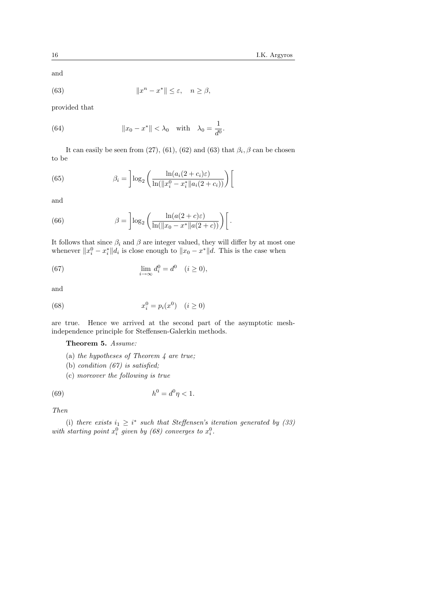and

(63) 
$$
||x^n - x^*|| \le \varepsilon, \quad n \ge \beta,
$$

provided that

(64) 
$$
||x_0 - x^*|| < \lambda_0 \text{ with } \lambda_0 = \frac{1}{d^0}.
$$

It can easily be seen from (27), (61), (62) and (63) that  $\beta_i$ ,  $\beta$  can be chosen to be

(65) 
$$
\beta_i = \left] \log_2 \left( \frac{\ln(a_i(2+c_i)\varepsilon)}{\ln(\|x_i^0 - x_i^*\|a_i(2+c_i))} \right) \right]
$$

and

(66) 
$$
\beta = \left] \log_2 \left( \frac{\ln(a(2+c)\varepsilon)}{\ln(\|x_0 - x^*\|a(2+c))} \right) \right[.
$$

It follows that since  $\beta_i$  and  $\beta$  are integer valued, they will differ by at most one whenever  $||x_i^0 - x_i^*||d_i$  is close enough to  $||x_0 - x^*||d$ . This is the case when

(67) 
$$
\lim_{i \to \infty} d_i^0 = d^0 \quad (i \ge 0),
$$

and

(68) 
$$
x_i^0 = p_i(x^0) \quad (i \ge 0)
$$

are true. Hence we arrived at the second part of the asymptotic meshindependence principle for Steffensen-Galerkin methods.

Theorem 5. Assume:

- (a) the hypotheses of Theorem  $\downarrow$  are true;
- (b) condition  $(67)$  is satisfied;
- (c) moreover the following is true

(69) 
$$
h^0 = d^0 \eta < 1.
$$

Then

(i) there exists  $i_1 \geq i^*$  such that Steffensen's iteration generated by (33) with starting point  $x_i^0$  given by (68) converges to  $x_i^0$ .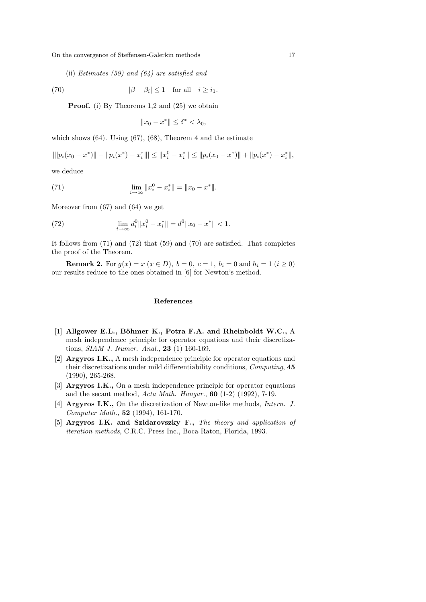(ii) Estimates (59) and (64) are satisfied and

(70) 
$$
|\beta - \beta_i| \le 1 \quad \text{for all} \quad i \ge i_1.
$$

Proof. (i) By Theorems 1,2 and (25) we obtain

$$
||x_0 - x^*|| \le \delta^* < \lambda_0,
$$

which shows  $(64)$ . Using  $(67)$ ,  $(68)$ , Theorem 4 and the estimate

$$
\| |p_i(x_0 - x^*)| - \| p_i(x^*) - x_i^* \| \le \| x_i^0 - x_i^* \| \le \| p_i(x_0 - x^*) \| + \| p_i(x^*) - x_i^* \|,
$$

we deduce

(71) 
$$
\lim_{i \to \infty} ||x_i^0 - x_i^*|| = ||x_0 - x^*||.
$$

Moreover from (67) and (64) we get

(72) 
$$
\lim_{i \to \infty} d_i^0 \|x_i^0 - x_i^*\| = d^0 \|x_0 - x^*\| < 1.
$$

It follows from (71) and (72) that (59) and (70) are satisfied. That completes the proof of the Theorem.

**Remark 2.** For  $g(x) = x$  ( $x \in D$ ),  $b = 0$ ,  $c = 1$ ,  $b_i = 0$  and  $h_i = 1$  ( $i \ge 0$ ) our results reduce to the ones obtained in [6] for Newton's method.

### References

- [1] Allgower E.L., Böhmer K., Potra F.A. and Rheinboldt W.C., A mesh independence principle for operator equations and their discretizations, SIAM J. Numer. Anal., 23 (1) 160-169.
- [2] Argyros I.K., A mesh independence principle for operator equations and their discretizations under mild differentiability conditions, Computing, 45 (1990), 265-268.
- [3] Argyros I.K., On a mesh independence principle for operator equations and the secant method,  $Acta Math. Hungar.$ , 60 (1-2) (1992), 7-19.
- [4] Argyros I.K., On the discretization of Newton-like methods, Intern. J. Computer Math., 52 (1994), 161-170.
- [5] Argyros I.K. and Szidarovszky F., The theory and application of iteration methods, C.R.C. Press Inc., Boca Raton, Florida, 1993.